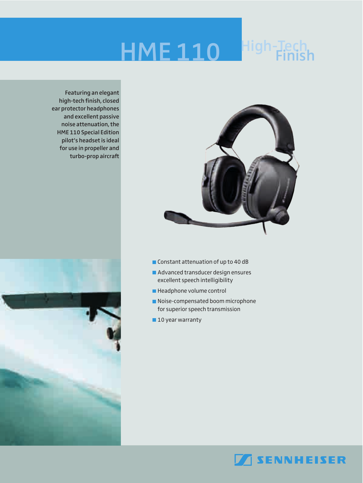## **High-Tech HME 110 Finish**



**Featuring an elegant high-tech finish, closed ear protector headphones and excellent passive noise attenuation, the HME 110 Special Edition pilot's headset is ideal for use in propeller and turbo-prop aircraft**



- Constant attenuation of up to 40 dB
- **Advanced transducer design ensures** excellent speech intelligibility
- Headphone volume control
- Noise-compensated boom microphone for superior speech transmission
- **10 year warranty**